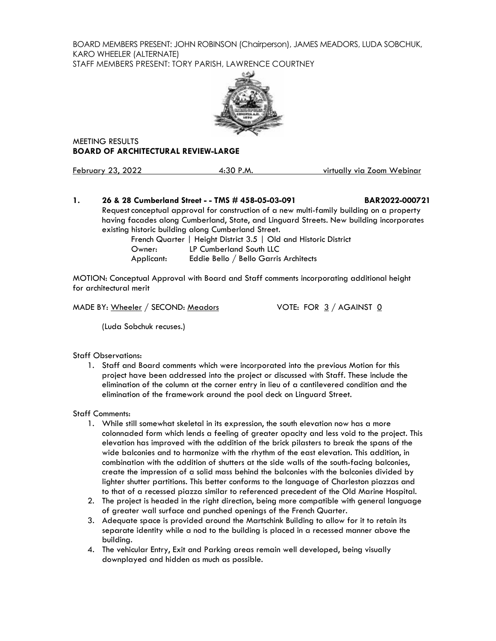BOARD MEMBERS PRESENT: JOHN ROBINSON (Chairperson), JAMES MEADORS, LUDA SOBCHUK, KARO WHEELER (ALTERNATE)

STAFF MEMBERS PRESENT: TORY PARISH, LAWRENCE COURTNEY



MEETING RESULTS **BOARD OF ARCHITECTURAL REVIEW-LARGE**

February 23, 2022 4:30 P.M. virtually via Zoom Webinar

# **1. 26 & 28 Cumberland Street - - TMS # 458-05-03-091 BAR2022-000721** Request conceptual approval for construction of a new multi-family building on a property having facades along Cumberland, State, and Linguard Streets. New building incorporates existing historic building along Cumberland Street. French Quarter | Height District 3.5 | Old and Historic District Owner: LP Cumberland South LLC

Applicant: Eddie Bello / Bello Garris Architects

MOTION: Conceptual Approval with Board and Staff comments incorporating additional height for architectural merit

MADE BY: Wheeler / SECOND: Meadors VOTE: FOR 3 / AGAINST 0

(Luda Sobchuk recuses.)

Staff Observations:

1. Staff and Board comments which were incorporated into the previous Motion for this project have been addressed into the project or discussed with Staff. These include the elimination of the column at the corner entry in lieu of a cantilevered condition and the elimination of the framework around the pool deck on Linguard Street.

Staff Comments:

- 1. While still somewhat skeletal in its expression, the south elevation now has a more colonnaded form which lends a feeling of greater opacity and less void to the project. This elevation has improved with the addition of the brick pilasters to break the spans of the wide balconies and to harmonize with the rhythm of the east elevation. This addition, in combination with the addition of shutters at the side walls of the south-facing balconies, create the impression of a solid mass behind the balconies with the balconies divided by lighter shutter partitions. This better conforms to the language of Charleston piazzas and to that of a recessed piazza similar to referenced precedent of the Old Marine Hospital.
- 2. The project is headed in the right direction, being more compatible with general language of greater wall surface and punched openings of the French Quarter.
- 3. Adequate space is provided around the Martschink Building to allow for it to retain its separate identity while a nod to the building is placed in a recessed manner above the building.
- 4. The vehicular Entry, Exit and Parking areas remain well developed, being visually downplayed and hidden as much as possible.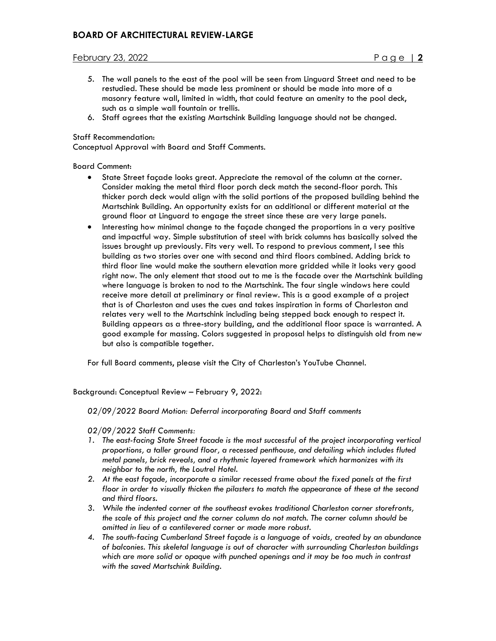# February 23, 2022 Page | **2**

- 5. The wall panels to the east of the pool will be seen from Linguard Street and need to be restudied. These should be made less prominent or should be made into more of a masonry feature wall, limited in width, that could feature an amenity to the pool deck, such as a simple wall fountain or trellis.
- 6. Staff agrees that the existing Martschink Building language should not be changed.

### Staff Recommendation:

Conceptual Approval with Board and Staff Comments.

Board Comment:

- State Street façade looks great. Appreciate the removal of the column at the corner. Consider making the metal third floor porch deck match the second-floor porch. This thicker porch deck would align with the solid portions of the proposed building behind the Martschink Building. An opportunity exists for an additional or different material at the ground floor at Linguard to engage the street since these are very large panels.
- Interesting how minimal change to the façade changed the proportions in a very positive and impactful way. Simple substitution of steel with brick columns has basically solved the issues brought up previously. Fits very well. To respond to previous comment, I see this building as two stories over one with second and third floors combined. Adding brick to third floor line would make the southern elevation more gridded while it looks very good right now. The only element that stood out to me is the facade over the Martschink building where language is broken to nod to the Martschink. The four single windows here could receive more detail at preliminary or final review. This is a good example of a project that is of Charleston and uses the cues and takes inspiration in forms of Charleston and relates very well to the Martschink including being stepped back enough to respect it. Building appears as a three-story building, and the additional floor space is warranted. A good example for massing. Colors suggested in proposal helps to distinguish old from new but also is compatible together.

For full Board comments, please visit the City of Charleston's YouTube Channel.

Background: Conceptual Review – February 9, 2022:

*02/09/2022 Board Motion: Deferral incorporating Board and Staff comments*

*02/09/2022 Staff Comments:*

- *1. The east-facing State Street facade is the most successful of the project incorporating vertical proportions, a taller ground floor, a recessed penthouse, and detailing which includes fluted metal panels, brick reveals, and a rhythmic layered framework which harmonizes with its neighbor to the north, the Loutrel Hotel.*
- *2. At the east façade, incorporate a similar recessed frame about the fixed panels at the first floor in order to visually thicken the pilasters to match the appearance of these at the second and third floors.*
- *3. While the indented corner at the southeast evokes traditional Charleston corner storefronts, the scale of this project and the corner column do not match. The corner column should be omitted in lieu of a cantilevered corner or made more robust.*
- *4. The south-facing Cumberland Street façade is a language of voids, created by an abundance of balconies. This skeletal language is out of character with surrounding Charleston buildings which are more solid or opaque with punched openings and it may be too much in contrast with the saved Martschink Building.*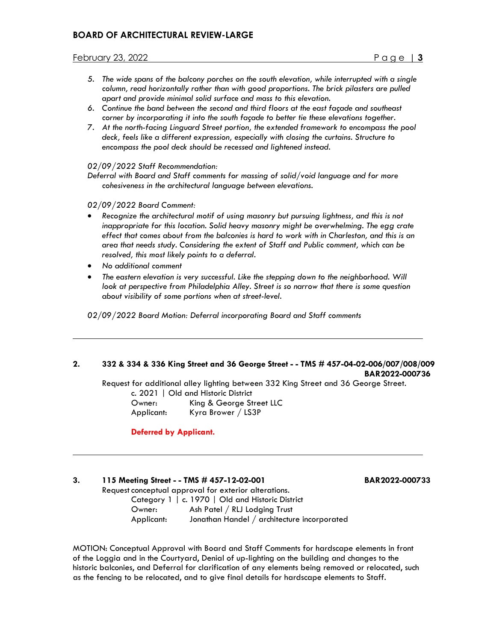# **BOARD OF ARCHITECTURAL REVIEW-LARGE**

## February 23, 2022 Page | **3**

- *5. The wide spans of the balcony porches on the south elevation, while interrupted with a single column, read horizontally rather than with good proportions. The brick pilasters are pulled apart and provide minimal solid surface and mass to this elevation.*
- *6. Continue the band between the second and third floors at the east façade and southeast corner by incorporating it into the south façade to better tie these elevations together.*
- *7. At the north-facing Linguard Street portion, the extended framework to encompass the pool deck, feels like a different expression, especially with closing the curtains. Structure to encompass the pool deck should be recessed and lightened instead.*

*02/09/2022 Staff Recommendation:* 

*Deferral with Board and Staff comments for massing of solid/void language and for more cohesiveness in the architectural language between elevations.*

*02/09/2022 Board Comment:*

- *Recognize the architectural motif of using masonry but pursuing lightness, and this is not inappropriate for this location. Solid heavy masonry might be overwhelming. The egg crate effect that comes about from the balconies is hard to work with in Charleston, and this is an area that needs study. Considering the extent of Staff and Public comment, which can be resolved, this most likely points to a deferral.*
- *No additional comment*
- *The eastern elevation is very successful. Like the stepping down to the neighborhood. Will look at perspective from Philadelphia Alley. Street is so narrow that there is some question about visibility of some portions when at street-level.*

*02/09/2022 Board Motion: Deferral incorporating Board and Staff comments*

#### **2. 332 & 334 & 336 King Street and 36 George Street - - TMS # 457-04-02-006/007/008/009 BAR2022-000736**

Request for additional alley lighting between 332 King Street and 36 George Street.

| c. 2021   Old and Historic District |                          |  |  |  |
|-------------------------------------|--------------------------|--|--|--|
| Owner:                              | King & George Street LLC |  |  |  |
| Applicant:                          | Kyra Brower / LS3P       |  |  |  |

**Deferred by Applicant.**

# **3. 115 Meeting Street - - TMS # 457-12-02-001 BAR2022-000733**

Request conceptual approval for exterior alterations. Category 1 | c. 1970 | Old and Historic District Owner: Ash Patel / RLJ Lodging Trust Applicant: Jonathan Handel / architecture incorporated

MOTION: Conceptual Approval with Board and Staff Comments for hardscape elements in front of the Loggia and in the Courtyard, Denial of up-lighting on the building and changes to the historic balconies, and Deferral for clarification of any elements being removed or relocated, such as the fencing to be relocated, and to give final details for hardscape elements to Staff.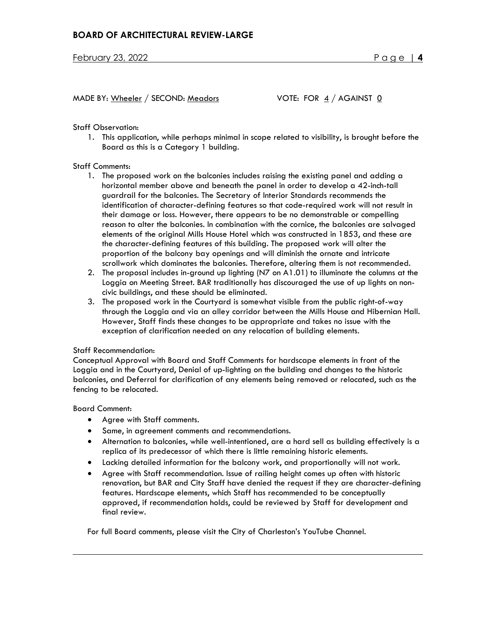MADE BY: Wheeler / SECOND: Meadors VOTE: FOR 4 / AGAINST 0

Staff Observation:

1. This application, while perhaps minimal in scope related to visibility, is brought before the Board as this is a Category 1 building.

### Staff Comments:

- 1. The proposed work on the balconies includes raising the existing panel and adding a horizontal member above and beneath the panel in order to develop a 42-inch-tall guardrail for the balconies. The Secretary of Interior Standards recommends the identification of character-defining features so that code-required work will not result in their damage or loss. However, there appears to be no demonstrable or compelling reason to alter the balconies. In combination with the cornice, the balconies are salvaged elements of the original Mills House Hotel which was constructed in 1853, and these are the character-defining features of this building. The proposed work will alter the proportion of the balcony bay openings and will diminish the ornate and intricate scrollwork which dominates the balconies. Therefore, altering them is not recommended.
- 2. The proposal includes in-ground up lighting (N7 on A1.01) to illuminate the columns at the Loggia on Meeting Street. BAR traditionally has discouraged the use of up lights on noncivic buildings, and these should be eliminated.
- 3. The proposed work in the Courtyard is somewhat visible from the public right-of-way through the Loggia and via an alley corridor between the Mills House and Hibernian Hall. However, Staff finds these changes to be appropriate and takes no issue with the exception of clarification needed on any relocation of building elements.

#### Staff Recommendation:

Conceptual Approval with Board and Staff Comments for hardscape elements in front of the Loggia and in the Courtyard, Denial of up-lighting on the building and changes to the historic balconies, and Deferral for clarification of any elements being removed or relocated, such as the fencing to be relocated.

Board Comment:

- Agree with Staff comments.
- Same, in agreement comments and recommendations.
- Alternation to balconies, while well-intentioned, are a hard sell as building effectively is a replica of its predecessor of which there is little remaining historic elements.
- Lacking detailed information for the balcony work, and proportionally will not work.
- Agree with Staff recommendation. Issue of railing height comes up often with historic renovation, but BAR and City Staff have denied the request if they are character-defining features. Hardscape elements, which Staff has recommended to be conceptually approved, if recommendation holds, could be reviewed by Staff for development and final review.

For full Board comments, please visit the City of Charleston's YouTube Channel.